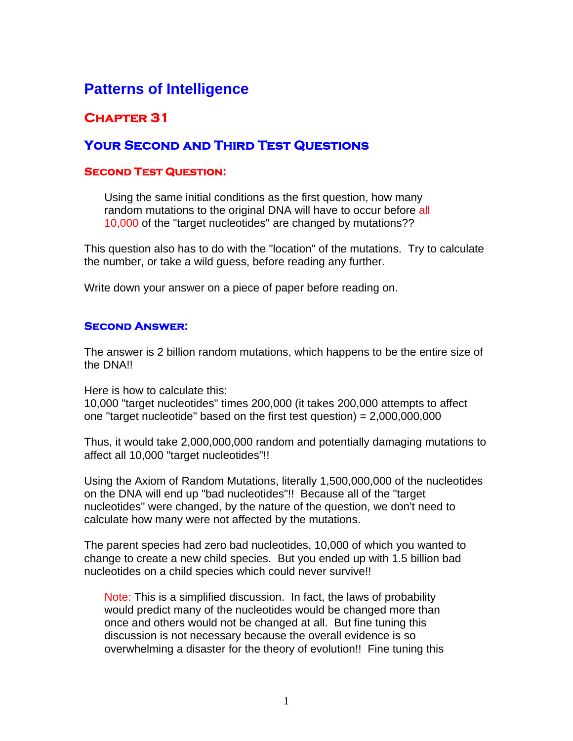# **Patterns of Intelligence**

## **Chapter 31**

### **Your Second and Third Test Questions**

#### **Second Test Question:**

Using the same initial conditions as the first question, how many random mutations to the original DNA will have to occur before all 10,000 of the "target nucleotides" are changed by mutations??

This question also has to do with the "location" of the mutations. Try to calculate the number, or take a wild guess, before reading any further.

Write down your answer on a piece of paper before reading on.

#### **Second Answer:**

The answer is 2 billion random mutations, which happens to be the entire size of the DNA!!

Here is how to calculate this:

10,000 "target nucleotides" times 200,000 (it takes 200,000 attempts to affect one "target nucleotide" based on the first test question) =  $2,000,000,000$ 

Thus, it would take 2,000,000,000 random and potentially damaging mutations to affect all 10,000 "target nucleotides"!!

Using the Axiom of Random Mutations, literally 1,500,000,000 of the nucleotides on the DNA will end up "bad nucleotides"!! Because all of the "target nucleotides" were changed, by the nature of the question, we don't need to calculate how many were not affected by the mutations.

The parent species had zero bad nucleotides, 10,000 of which you wanted to change to create a new child species. But you ended up with 1.5 billion bad nucleotides on a child species which could never survive!!

Note: This is a simplified discussion. In fact, the laws of probability would predict many of the nucleotides would be changed more than once and others would not be changed at all. But fine tuning this discussion is not necessary because the overall evidence is so overwhelming a disaster for the theory of evolution!! Fine tuning this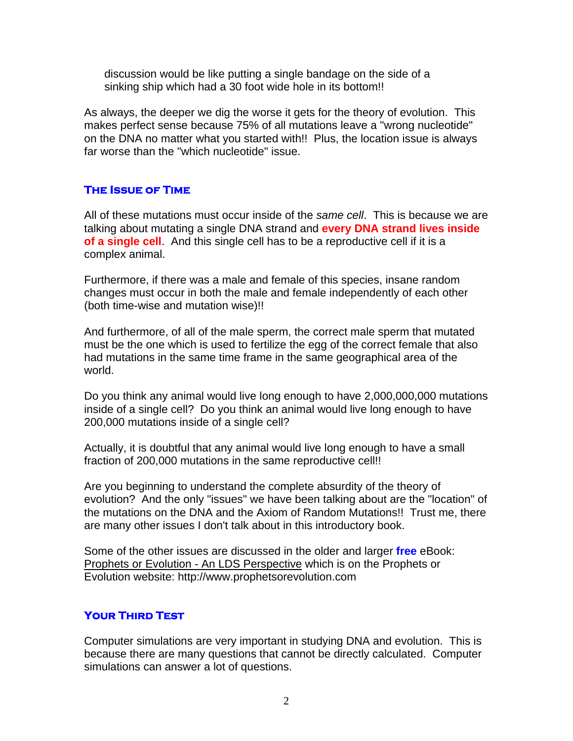discussion would be like putting a single bandage on the side of a sinking ship which had a 30 foot wide hole in its bottom!!

As always, the deeper we dig the worse it gets for the theory of evolution. This makes perfect sense because 75% of all mutations leave a "wrong nucleotide" on the DNA no matter what you started with!! Plus, the location issue is always far worse than the "which nucleotide" issue.

#### **The Issue of Time**

All of these mutations must occur inside of the *same cell*. This is because we are talking about mutating a single DNA strand and **every DNA strand lives inside of a single cell**. And this single cell has to be a reproductive cell if it is a complex animal.

Furthermore, if there was a male and female of this species, insane random changes must occur in both the male and female independently of each other (both time-wise and mutation wise)!!

And furthermore, of all of the male sperm, the correct male sperm that mutated must be the one which is used to fertilize the egg of the correct female that also had mutations in the same time frame in the same geographical area of the world.

Do you think any animal would live long enough to have 2,000,000,000 mutations inside of a single cell? Do you think an animal would live long enough to have 200,000 mutations inside of a single cell?

Actually, it is doubtful that any animal would live long enough to have a small fraction of 200,000 mutations in the same reproductive cell!!

Are you beginning to understand the complete absurdity of the theory of evolution? And the only "issues" we have been talking about are the "location" of the mutations on the DNA and the Axiom of Random Mutations!! Trust me, there are many other issues I don't talk about in this introductory book.

Some of the other issues are discussed in the older and larger **free** eBook: Prophets or Evolution - An LDS Perspective which is on the Prophets or Evolution website: http://www.prophetsorevolution.com

#### **Your Third Test**

Computer simulations are very important in studying DNA and evolution. This is because there are many questions that cannot be directly calculated. Computer simulations can answer a lot of questions.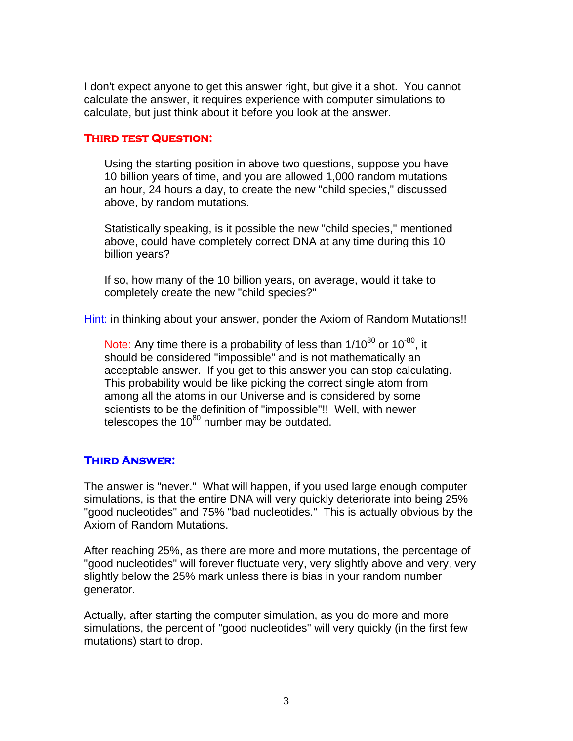I don't expect anyone to get this answer right, but give it a shot. You cannot calculate the answer, it requires experience with computer simulations to calculate, but just think about it before you look at the answer.

#### **Third test Question:**

Using the starting position in above two questions, suppose you have 10 billion years of time, and you are allowed 1,000 random mutations an hour, 24 hours a day, to create the new "child species," discussed above, by random mutations.

Statistically speaking, is it possible the new "child species," mentioned above, could have completely correct DNA at any time during this 10 billion years?

If so, how many of the 10 billion years, on average, would it take to completely create the new "child species?"

Hint: in thinking about your answer, ponder the Axiom of Random Mutations!!

Note: Any time there is a probability of less than  $1/10^{80}$  or  $10^{-80}$ , it should be considered "impossible" and is not mathematically an acceptable answer. If you get to this answer you can stop calculating. This probability would be like picking the correct single atom from among all the atoms in our Universe and is considered by some scientists to be the definition of "impossible"!! Well, with newer telescopes the  $10^{80}$  number may be outdated.

#### **Third Answer:**

The answer is "never." What will happen, if you used large enough computer simulations, is that the entire DNA will very quickly deteriorate into being 25% "good nucleotides" and 75% "bad nucleotides." This is actually obvious by the Axiom of Random Mutations.

After reaching 25%, as there are more and more mutations, the percentage of "good nucleotides" will forever fluctuate very, very slightly above and very, very slightly below the 25% mark unless there is bias in your random number generator.

Actually, after starting the computer simulation, as you do more and more simulations, the percent of "good nucleotides" will very quickly (in the first few mutations) start to drop.